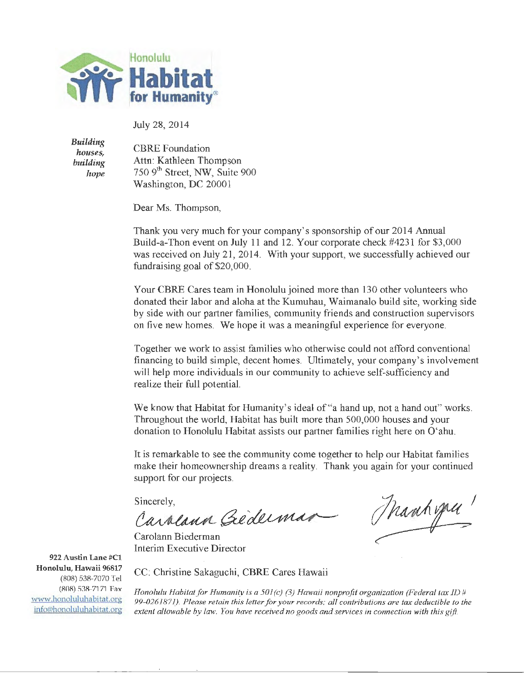

July 28, 2014

Building *houses,*  building *hope* 

CBRE Foundation Attn: Kathleen Thompson 750 9<sup>th</sup> Street, NW, Suite 900 Washington, DC 20001

Dear Ms. Thompson,

Thank you very much for your company's sponsorship of our 2014 Annual Build-a-Than event on July 11 and 12. Your corporate check #4231 for \$3,000 was received on July 21, 2014. With your support, we successfully achieved our fundraising goal of \$20,000.

Your CBRE Cares team in Honolulu joined more than 130 other volunteers who donated their labor and aloha at the Kumuhau, Waimanalo build site, working side by side with our partner families, community friends and construction supervisors on five new homes. We hope it was a meaningful experience for everyone.

Together we work to assist families who otherwise could not afford conventional financing to build simple, decent homes. Ultimately, your company's involvement will help more individuals in our community to achieve self-sufficiency and realize their full potential.

We know that Habitat for Humanity's ideal of "a hand up, not a hand out" works. Throughout the world, Habitat has built more than 500,000 houses and your donation to Honolulu Habitat assists our partner families right here on O'ahu.

It is remarkable to see the community come together to help our Habitat families make their homeownership dreams a reality. Thank you again for your continued support for our projects.

Sincerely,

Carolann Biederman Interim Executive Director

Carolana Géderman Manhyrer

922 Austin Lane #Cl Honolulu, Hawaii 96817 (808) 538-7070 Tel (808) 538-7171 Fax www.honoluluhabitat.org info@honolul uha bitat.org

CC: Christine Sakaguchi, CBRE Cares Hawaii

*Honolulu Habitat for Humanity is a 501 (c) {3) Hawaii nonprofit organization (Federal tax ID* # *99-0261 8 71). Please retain this letter for your records; all contributions are tax deductible to the extent allowable by law. You have received no goods and services in connection with this gift.*